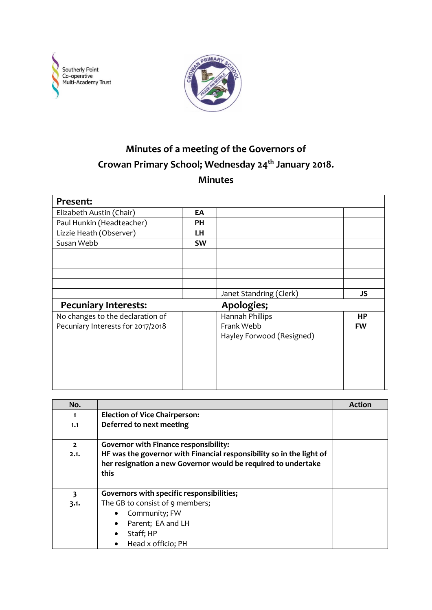



## **Minutes of a meeting of the Governors of Crowan Primary School; Wednesday 24th January 2018. Minutes**

| Present:                          |           |                           |           |
|-----------------------------------|-----------|---------------------------|-----------|
| Elizabeth Austin (Chair)          | EA        |                           |           |
| Paul Hunkin (Headteacher)         | PН        |                           |           |
| Lizzie Heath (Observer)           | LH        |                           |           |
| Susan Webb                        | <b>SW</b> |                           |           |
|                                   |           |                           |           |
|                                   |           |                           |           |
|                                   |           |                           |           |
|                                   |           |                           |           |
|                                   |           | Janet Standring (Clerk)   | JS        |
| <b>Pecuniary Interests:</b>       |           | Apologies;                |           |
| No changes to the declaration of  |           | Hannah Phillips           | HP        |
| Pecuniary Interests for 2017/2018 |           | Frank Webb                | <b>FW</b> |
|                                   |           | Hayley Forwood (Resigned) |           |
|                                   |           |                           |           |
|                                   |           |                           |           |
|                                   |           |                           |           |
|                                   |           |                           |           |
|                                   |           |                           |           |

| No.                    |                                                                                                                                                                                               | <b>Action</b> |
|------------------------|-----------------------------------------------------------------------------------------------------------------------------------------------------------------------------------------------|---------------|
|                        | <b>Election of Vice Chairperson:</b>                                                                                                                                                          |               |
| 1.1                    | Deferred to next meeting                                                                                                                                                                      |               |
| $\overline{2}$<br>2.1. | <b>Governor with Finance responsibility:</b><br>HF was the governor with Financial responsibility so in the light of<br>her resignation a new Governor would be required to undertake<br>this |               |
| 3                      | Governors with specific responsibilities;                                                                                                                                                     |               |
| 3.1.                   | The GB to consist of 9 members;                                                                                                                                                               |               |
|                        | Community; FW                                                                                                                                                                                 |               |
|                        | Parent; EA and LH                                                                                                                                                                             |               |
|                        | Staff; HP                                                                                                                                                                                     |               |
|                        | Head x officio; PH<br>٠                                                                                                                                                                       |               |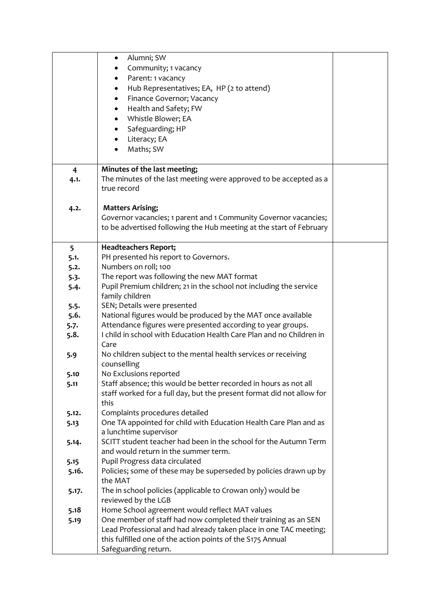|                | Alumni; SW<br>٠                                                       |  |
|----------------|-----------------------------------------------------------------------|--|
|                | Community; 1 vacancy<br>٠                                             |  |
|                | Parent: 1 vacancy<br>٠                                                |  |
|                | Hub Representatives; EA, HP (2 to attend)<br>$\bullet$                |  |
|                | Finance Governor; Vacancy<br>$\bullet$                                |  |
|                | Health and Safety; FW                                                 |  |
|                | Whistle Blower; EA                                                    |  |
|                | Safeguarding; HP<br>$\bullet$                                         |  |
|                |                                                                       |  |
|                | Literacy; EA                                                          |  |
|                | Maths; SW                                                             |  |
| $\overline{4}$ | Minutes of the last meeting;                                          |  |
| 4.1.           | The minutes of the last meeting were approved to be accepted as a     |  |
|                | true record                                                           |  |
|                |                                                                       |  |
| 4.2.           | <b>Matters Arising;</b>                                               |  |
|                | Governor vacancies; 1 parent and 1 Community Governor vacancies;      |  |
|                | to be advertised following the Hub meeting at the start of February   |  |
|                |                                                                       |  |
| 5              | <b>Headteachers Report;</b>                                           |  |
| 5.1.           | PH presented his report to Governors.                                 |  |
| 5.2.           | Numbers on roll; 100                                                  |  |
| 5.3.           | The report was following the new MAT format                           |  |
| 5.4.           | Pupil Premium children; 21 in the school not including the service    |  |
|                | family children                                                       |  |
| 5.5.           | SEN; Details were presented                                           |  |
| 5.6.           | National figures would be produced by the MAT once available          |  |
| 5.7.           | Attendance figures were presented according to year groups.           |  |
| 5.8.           | I child in school with Education Health Care Plan and no Children in  |  |
|                | Care                                                                  |  |
| 5.9            | No children subject to the mental health services or receiving        |  |
|                | counselling                                                           |  |
| 5.10           | No Exclusions reported                                                |  |
| 5.11           | Staff absence; this would be better recorded in hours as not all      |  |
|                | staff worked for a full day, but the present format did not allow for |  |
|                | this                                                                  |  |
| 5.12.          | Complaints procedures detailed                                        |  |
| 5.13           | One TA appointed for child with Education Health Care Plan and as     |  |
|                | a lunchtime supervisor                                                |  |
| 5.14.          | SCITT student teacher had been in the school for the Autumn Term      |  |
|                | and would return in the summer term.                                  |  |
| 5.15           | Pupil Progress data circulated                                        |  |
| 5.16.          | Policies; some of these may be superseded by policies drawn up by     |  |
|                | the MAT                                                               |  |
| 5.17.          | The in school policies (applicable to Crowan only) would be           |  |
|                | reviewed by the LGB                                                   |  |
| 5.18           | Home School agreement would reflect MAT values                        |  |
| 5.19           | One member of staff had now completed their training as an SEN        |  |
|                | Lead Professional and had already taken place in one TAC meeting;     |  |
|                | this fulfilled one of the action points of the S175 Annual            |  |
|                | Safeguarding return.                                                  |  |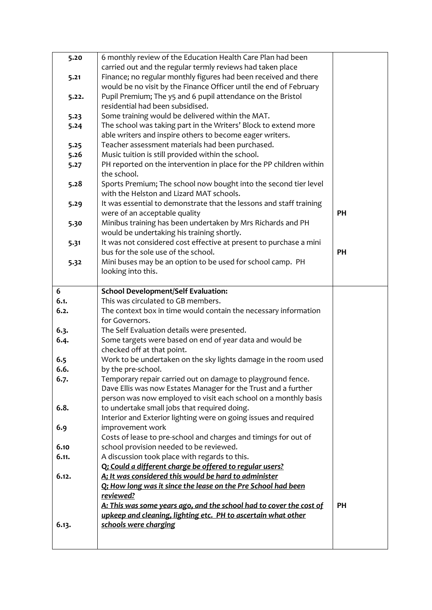| 5.20  | 6 monthly review of the Education Health Care Plan had been                                             |           |
|-------|---------------------------------------------------------------------------------------------------------|-----------|
|       | carried out and the regular termly reviews had taken place                                              |           |
| 5.21  | Finance; no regular monthly figures had been received and there                                         |           |
|       | would be no visit by the Finance Officer until the end of February                                      |           |
| 5.22. | Pupil Premium; The y5 and 6 pupil attendance on the Bristol                                             |           |
|       | residential had been subsidised.                                                                        |           |
| 5.23  | Some training would be delivered within the MAT.                                                        |           |
| 5.24  | The school was taking part in the Writers' Block to extend more                                         |           |
|       | able writers and inspire others to become eager writers.                                                |           |
| 5.25  | Teacher assessment materials had been purchased.                                                        |           |
| 5.26  | Music tuition is still provided within the school.                                                      |           |
| 5.27  | PH reported on the intervention in place for the PP children within                                     |           |
|       | the school.                                                                                             |           |
| 5.28  | Sports Premium; The school now bought into the second tier level                                        |           |
|       | with the Helston and Lizard MAT schools.                                                                |           |
| 5.29  | It was essential to demonstrate that the lessons and staff training                                     |           |
|       | were of an acceptable quality                                                                           | PH        |
| 5.30  | Minibus training has been undertaken by Mrs Richards and PH                                             |           |
|       | would be undertaking his training shortly.                                                              |           |
| 5.31  | It was not considered cost effective at present to purchase a mini                                      |           |
|       | bus for the sole use of the school.                                                                     | <b>PH</b> |
| 5.32  | Mini buses may be an option to be used for school camp. PH                                              |           |
|       | looking into this.                                                                                      |           |
| 6     | <b>School Development/Self Evaluation:</b>                                                              |           |
|       |                                                                                                         |           |
|       |                                                                                                         |           |
| 6.1.  | This was circulated to GB members.                                                                      |           |
| 6.2.  | The context box in time would contain the necessary information<br>for Governors.                       |           |
| 6.3.  |                                                                                                         |           |
| 6.4.  | The Self Evaluation details were presented.<br>Some targets were based on end of year data and would be |           |
|       | checked off at that point.                                                                              |           |
| 6.5   | Work to be undertaken on the sky lights damage in the room used                                         |           |
| 6.6.  | by the pre-school.                                                                                      |           |
| 6.7.  | Temporary repair carried out on damage to playground fence.                                             |           |
|       | Dave Ellis was now Estates Manager for the Trust and a further                                          |           |
|       | person was now employed to visit each school on a monthly basis                                         |           |
| 6.8.  | to undertake small jobs that required doing.                                                            |           |
|       | Interior and Exterior lighting were on going issues and required                                        |           |
| 6.9   | improvement work                                                                                        |           |
|       | Costs of lease to pre-school and charges and timings for out of                                         |           |
| 6.10  | school provision needed to be reviewed.                                                                 |           |
| 6.11. | A discussion took place with regards to this.                                                           |           |
|       | Q; Could a different charge be offered to regular users?                                                |           |
| 6.12. | A; It was considered this would be hard to administer                                                   |           |
|       | Q: How long was it since the lease on the Pre School had been                                           |           |
|       | reviewed?                                                                                               |           |
|       | A: This was some years ago, and the school had to cover the cost of                                     | PH        |
|       | upkeep and cleaning, lighting etc. PH to ascertain what other                                           |           |
| 6.13. | schools were charging                                                                                   |           |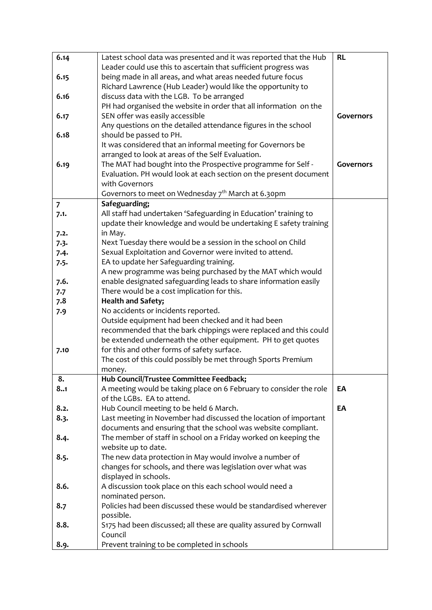| 6.14           | Latest school data was presented and it was reported that the Hub                                                                     | <b>RL</b>        |
|----------------|---------------------------------------------------------------------------------------------------------------------------------------|------------------|
|                | Leader could use this to ascertain that sufficient progress was                                                                       |                  |
| 6.15           | being made in all areas, and what areas needed future focus                                                                           |                  |
|                | Richard Lawrence (Hub Leader) would like the opportunity to                                                                           |                  |
| 6.16           | discuss data with the LGB. To be arranged                                                                                             |                  |
|                | PH had organised the website in order that all information on the                                                                     |                  |
| 6.17           | SEN offer was easily accessible                                                                                                       | Governors        |
|                | Any questions on the detailed attendance figures in the school                                                                        |                  |
| 6.18           | should be passed to PH.                                                                                                               |                  |
|                | It was considered that an informal meeting for Governors be                                                                           |                  |
|                | arranged to look at areas of the Self Evaluation.                                                                                     |                  |
| 6.19           | The MAT had bought into the Prospective programme for Self -                                                                          | <b>Governors</b> |
|                | Evaluation. PH would look at each section on the present document                                                                     |                  |
|                | with Governors                                                                                                                        |                  |
|                | Governors to meet on Wednesday 7 <sup>th</sup> March at 6.30pm                                                                        |                  |
| $\overline{7}$ | Safeguarding;                                                                                                                         |                  |
| 7.1.           | All staff had undertaken 'Safeguarding in Education' training to<br>update their knowledge and would be undertaking E safety training |                  |
|                | in May.                                                                                                                               |                  |
| 7.2.<br>7.3.   | Next Tuesday there would be a session in the school on Child                                                                          |                  |
| 7.4.           | Sexual Exploitation and Governor were invited to attend.                                                                              |                  |
| 7.5.           | EA to update her Safeguarding training.                                                                                               |                  |
|                | A new programme was being purchased by the MAT which would                                                                            |                  |
| 7.6.           | enable designated safeguarding leads to share information easily                                                                      |                  |
| 7.7            | There would be a cost implication for this.                                                                                           |                  |
| 7.8            | <b>Health and Safety;</b>                                                                                                             |                  |
| 7.9            | No accidents or incidents reported.                                                                                                   |                  |
|                | Outside equipment had been checked and it had been                                                                                    |                  |
|                | recommended that the bark chippings were replaced and this could                                                                      |                  |
|                | be extended underneath the other equipment. PH to get quotes                                                                          |                  |
| 7.10           | for this and other forms of safety surface.                                                                                           |                  |
|                | The cost of this could possibly be met through Sports Premium                                                                         |                  |
|                | money.                                                                                                                                |                  |
| 8.             | Hub Council/Trustee Committee Feedback;                                                                                               |                  |
| 8.1            | A meeting would be taking place on 6 February to consider the role                                                                    | EA               |
|                | of the LGBs. EA to attend.                                                                                                            |                  |
| 8.2.           | Hub Council meeting to be held 6 March.                                                                                               | EA               |
| 8.3.           | Last meeting in November had discussed the location of important                                                                      |                  |
|                | documents and ensuring that the school was website compliant.                                                                         |                  |
| 8.4.           | The member of staff in school on a Friday worked on keeping the<br>website up to date.                                                |                  |
| 8.5.           | The new data protection in May would involve a number of                                                                              |                  |
|                | changes for schools, and there was legislation over what was                                                                          |                  |
|                | displayed in schools.                                                                                                                 |                  |
| 8.6.           | A discussion took place on this each school would need a                                                                              |                  |
|                | nominated person.                                                                                                                     |                  |
| 8.7            | Policies had been discussed these would be standardised wherever                                                                      |                  |
|                | possible.                                                                                                                             |                  |
| 8.8.           | S175 had been discussed; all these are quality assured by Cornwall                                                                    |                  |
|                | Council                                                                                                                               |                  |
| 8.9.           | Prevent training to be completed in schools                                                                                           |                  |